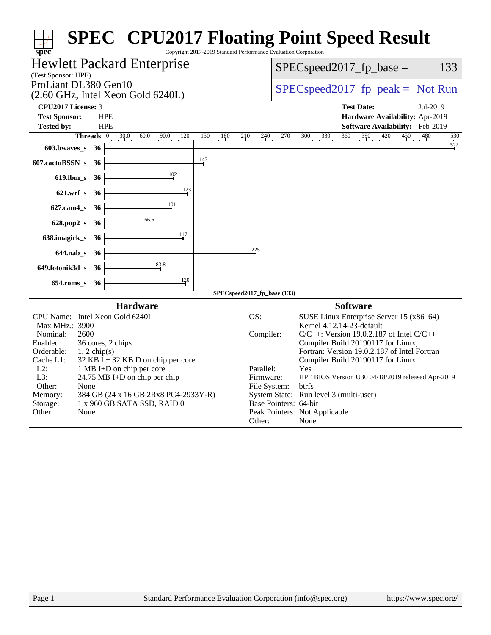| Copyright 2017-2019 Standard Performance Evaluation Corporation<br>$spec^*$       | <b>SPEC<sup>®</sup> CPU2017 Floating Point Speed Result</b>                             |
|-----------------------------------------------------------------------------------|-----------------------------------------------------------------------------------------|
| Hewlett Packard Enterprise                                                        | 133<br>$SPEC speed2017_fp\_base =$                                                      |
| (Test Sponsor: HPE)                                                               |                                                                                         |
| ProLiant DL380 Gen10                                                              | $SPEC speed2017fr peak = Not Run$                                                       |
| $(2.60 \text{ GHz}, \text{Intel Xeon Gold } 6240L)$<br>CPU2017 License: 3         | <b>Test Date:</b><br>Jul-2019                                                           |
| <b>Test Sponsor:</b><br><b>HPE</b>                                                | Hardware Availability: Apr-2019                                                         |
| Tested by:<br><b>HPE</b>                                                          | Software Availability: Feb-2019                                                         |
| $30.0$ $60.0$ $90.0$<br><b>Threads</b> $\vert 0 \rangle$<br>$0\frac{120}{1}$      | $360$ $390$ $420$ $450$ $480$<br>$150$ $180$ $210$ $240$ $270$ $300$ $330$<br>530       |
| 603.bwaves_s<br>36                                                                | $\frac{522}{1}$                                                                         |
| $\frac{147}{2}$<br>607.cactuBSSN_s<br>36                                          |                                                                                         |
| 102<br>$619$ .lbm_s<br>-36                                                        |                                                                                         |
| 123<br>$621.wrf$ <sub>S</sub><br>36                                               |                                                                                         |
| 101<br>$627$ .cam $4$ <sub>_S</sub><br>36                                         |                                                                                         |
| 66.6<br>628.pop2_s<br>36                                                          |                                                                                         |
| 117<br>638.imagick_s<br>36                                                        |                                                                                         |
| $644$ .nab $\sf s$<br>-36                                                         | 225                                                                                     |
| 83.8<br>649.fotonik3d_s<br>-36                                                    |                                                                                         |
| 120<br>$654$ .roms_s<br>36                                                        |                                                                                         |
|                                                                                   | SPECspeed2017_fp_base (133)                                                             |
| <b>Hardware</b>                                                                   | <b>Software</b>                                                                         |
| CPU Name: Intel Xeon Gold 6240L                                                   | OS:<br>SUSE Linux Enterprise Server 15 (x86_64)                                         |
| Max MHz.: 3900<br>2600<br>Nominal:                                                | Kernel 4.12.14-23-default<br>$C/C++$ : Version 19.0.2.187 of Intel $C/C++$<br>Compiler: |
| Enabled:<br>36 cores, 2 chips                                                     | Compiler Build 20190117 for Linux;                                                      |
| Orderable:<br>$1, 2$ chip(s)<br>Cache L1:<br>$32$ KB I + 32 KB D on chip per core | Fortran: Version 19.0.2.187 of Intel Fortran<br>Compiler Build 20190117 for Linux       |
| $L2$ :<br>1 MB I+D on chip per core                                               | Parallel:<br>Yes                                                                        |
| L3:<br>24.75 MB I+D on chip per chip                                              | Firmware:<br>HPE BIOS Version U30 04/18/2019 released Apr-2019                          |
| Other:<br>None<br>Memory:<br>384 GB (24 x 16 GB 2Rx8 PC4-2933Y-R)                 | File System:<br>btrfs<br>System State: Run level 3 (multi-user)                         |
| Storage:<br>1 x 960 GB SATA SSD, RAID 0                                           | Base Pointers: 64-bit                                                                   |
| Other:<br>None                                                                    | Peak Pointers: Not Applicable<br>None                                                   |
|                                                                                   | Other:                                                                                  |
|                                                                                   |                                                                                         |
|                                                                                   |                                                                                         |
|                                                                                   |                                                                                         |
|                                                                                   |                                                                                         |
|                                                                                   |                                                                                         |
|                                                                                   |                                                                                         |
|                                                                                   |                                                                                         |
|                                                                                   |                                                                                         |
|                                                                                   |                                                                                         |
|                                                                                   |                                                                                         |
|                                                                                   |                                                                                         |
|                                                                                   |                                                                                         |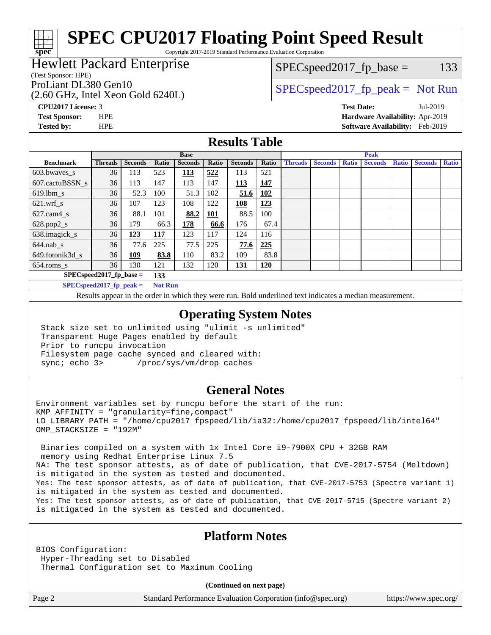# **[SPEC CPU2017 Floating Point Speed Result](http://www.spec.org/auto/cpu2017/Docs/result-fields.html#SPECCPU2017FloatingPointSpeedResult)**

Copyright 2017-2019 Standard Performance Evaluation Corporation

## Hewlett Packard Enterprise

#### (Test Sponsor: HPE)

(2.60 GHz, Intel Xeon Gold 6240L)

 $SPEC speed2017_fp\_base = 133$ 

## ProLiant DL380 Gen10  $SPEC speed2017$  fp\_peak = Not Run

**[spec](http://www.spec.org/)**

**[CPU2017 License:](http://www.spec.org/auto/cpu2017/Docs/result-fields.html#CPU2017License)** 3 **[Test Date:](http://www.spec.org/auto/cpu2017/Docs/result-fields.html#TestDate)** Jul-2019 **[Test Sponsor:](http://www.spec.org/auto/cpu2017/Docs/result-fields.html#TestSponsor)** HPE **[Hardware Availability:](http://www.spec.org/auto/cpu2017/Docs/result-fields.html#HardwareAvailability)** Apr-2019 **[Tested by:](http://www.spec.org/auto/cpu2017/Docs/result-fields.html#Testedby)** HPE **[Software Availability:](http://www.spec.org/auto/cpu2017/Docs/result-fields.html#SoftwareAvailability)** Feb-2019

### **[Results Table](http://www.spec.org/auto/cpu2017/Docs/result-fields.html#ResultsTable)**

|                            | <b>Base</b>                |                |                |                |            | <b>Peak</b>    |            |                |                |              |                |              |                |              |
|----------------------------|----------------------------|----------------|----------------|----------------|------------|----------------|------------|----------------|----------------|--------------|----------------|--------------|----------------|--------------|
| <b>Benchmark</b>           | <b>Threads</b>             | <b>Seconds</b> | Ratio          | <b>Seconds</b> | Ratio      | <b>Seconds</b> | Ratio      | <b>Threads</b> | <b>Seconds</b> | <b>Ratio</b> | <b>Seconds</b> | <b>Ratio</b> | <b>Seconds</b> | <b>Ratio</b> |
| $603.bwaves$ s             | 36                         | 113            | 523            | 113            | 522        | 113            | 521        |                |                |              |                |              |                |              |
| 607.cactuBSSN s            | 36                         | 113            | 147            | 113            | 147        | <b>113</b>     | 147        |                |                |              |                |              |                |              |
| $619.$ lbm_s               | 36                         | 52.3           | 100            | 51.3           | 102        | 51.6           | 102        |                |                |              |                |              |                |              |
| $621$ .wrf s               | 36                         | 107            | 123            | 108            | 122        | 108            | 123        |                |                |              |                |              |                |              |
| $627$ .cam $4 \text{ s}$   | 36                         | 88.1           | 101            | 88.2           | <u>101</u> | 88.5           | 100        |                |                |              |                |              |                |              |
| $628.pop2_s$               | 36                         | 179            | 66.3           | 178            | 66.6       | 176            | 67.4       |                |                |              |                |              |                |              |
| 638.imagick_s              | 36                         | 123            | 117            | 123            | 117        | 124            | 116        |                |                |              |                |              |                |              |
| $644$ .nab s               | 36                         | 77.6           | 225            | 77.5           | 225        | 77.6           | 225        |                |                |              |                |              |                |              |
| 649.fotonik3d s            | 36                         | <u>109</u>     | 83.8           | 110            | 83.2       | 109            | 83.8       |                |                |              |                |              |                |              |
| $654$ .roms s              | 36                         | 130            | 121            | 132            | 120        | <u>131</u>     | <b>120</b> |                |                |              |                |              |                |              |
|                            | $SPEC speed2017$ fp base = |                | 133            |                |            |                |            |                |                |              |                |              |                |              |
| $SPECspeed2017_fp\_peak =$ |                            |                | <b>Not Run</b> |                |            |                |            |                |                |              |                |              |                |              |

Results appear in the [order in which they were run.](http://www.spec.org/auto/cpu2017/Docs/result-fields.html#RunOrder) Bold underlined text [indicates a median measurement](http://www.spec.org/auto/cpu2017/Docs/result-fields.html#Median).

#### **[Operating System Notes](http://www.spec.org/auto/cpu2017/Docs/result-fields.html#OperatingSystemNotes)**

 Stack size set to unlimited using "ulimit -s unlimited" Transparent Huge Pages enabled by default Prior to runcpu invocation Filesystem page cache synced and cleared with: sync; echo 3> /proc/sys/vm/drop\_caches

#### **[General Notes](http://www.spec.org/auto/cpu2017/Docs/result-fields.html#GeneralNotes)**

Environment variables set by runcpu before the start of the run:  $KMP$  AFFINITY = "granularity=fine, compact" LD\_LIBRARY\_PATH = "/home/cpu2017\_fpspeed/lib/ia32:/home/cpu2017\_fpspeed/lib/intel64" OMP\_STACKSIZE = "192M"

 Binaries compiled on a system with 1x Intel Core i9-7900X CPU + 32GB RAM memory using Redhat Enterprise Linux 7.5 NA: The test sponsor attests, as of date of publication, that CVE-2017-5754 (Meltdown) is mitigated in the system as tested and documented. Yes: The test sponsor attests, as of date of publication, that CVE-2017-5753 (Spectre variant 1) is mitigated in the system as tested and documented. Yes: The test sponsor attests, as of date of publication, that CVE-2017-5715 (Spectre variant 2) is mitigated in the system as tested and documented.

### **[Platform Notes](http://www.spec.org/auto/cpu2017/Docs/result-fields.html#PlatformNotes)**

BIOS Configuration: Hyper-Threading set to Disabled Thermal Configuration set to Maximum Cooling

**(Continued on next page)**

Page 2 Standard Performance Evaluation Corporation [\(info@spec.org\)](mailto:info@spec.org) <https://www.spec.org/>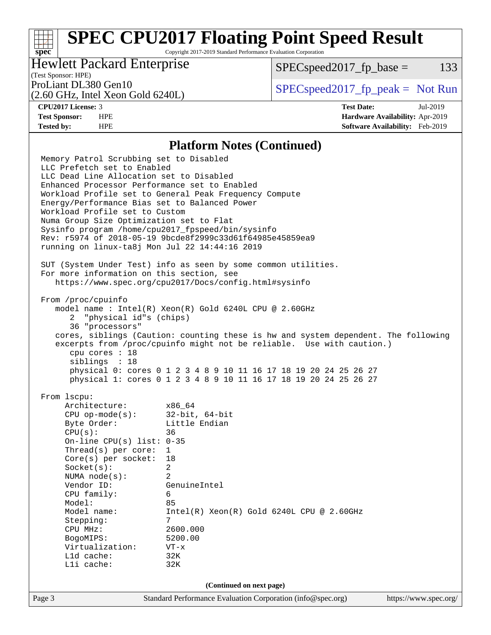# **[SPEC CPU2017 Floating Point Speed Result](http://www.spec.org/auto/cpu2017/Docs/result-fields.html#SPECCPU2017FloatingPointSpeedResult)**

Copyright 2017-2019 Standard Performance Evaluation Corporation

## Hewlett Packard Enterprise

 $SPEC speed2017_fp\_base = 133$ 

# (Test Sponsor: HPE)

(2.60 GHz, Intel Xeon Gold 6240L)

ProLiant DL380 Gen10  $SPEC speed2017$  [p\_peak = Not Run

**[spec](http://www.spec.org/)**

**[CPU2017 License:](http://www.spec.org/auto/cpu2017/Docs/result-fields.html#CPU2017License)** 3 **[Test Date:](http://www.spec.org/auto/cpu2017/Docs/result-fields.html#TestDate)** Jul-2019 **[Test Sponsor:](http://www.spec.org/auto/cpu2017/Docs/result-fields.html#TestSponsor)** HPE **[Hardware Availability:](http://www.spec.org/auto/cpu2017/Docs/result-fields.html#HardwareAvailability)** Apr-2019 **[Tested by:](http://www.spec.org/auto/cpu2017/Docs/result-fields.html#Testedby)** HPE **[Software Availability:](http://www.spec.org/auto/cpu2017/Docs/result-fields.html#SoftwareAvailability)** Feb-2019

#### **[Platform Notes \(Continued\)](http://www.spec.org/auto/cpu2017/Docs/result-fields.html#PlatformNotes)**

Page 3 Standard Performance Evaluation Corporation [\(info@spec.org\)](mailto:info@spec.org) <https://www.spec.org/> Memory Patrol Scrubbing set to Disabled LLC Prefetch set to Enabled LLC Dead Line Allocation set to Disabled Enhanced Processor Performance set to Enabled Workload Profile set to General Peak Frequency Compute Energy/Performance Bias set to Balanced Power Workload Profile set to Custom Numa Group Size Optimization set to Flat Sysinfo program /home/cpu2017\_fpspeed/bin/sysinfo Rev: r5974 of 2018-05-19 9bcde8f2999c33d61f64985e45859ea9 running on linux-ta8j Mon Jul 22 14:44:16 2019 SUT (System Under Test) info as seen by some common utilities. For more information on this section, see <https://www.spec.org/cpu2017/Docs/config.html#sysinfo> From /proc/cpuinfo model name : Intel(R) Xeon(R) Gold 6240L CPU @ 2.60GHz 2 "physical id"s (chips) 36 "processors" cores, siblings (Caution: counting these is hw and system dependent. The following excerpts from /proc/cpuinfo might not be reliable. Use with caution.) cpu cores : 18 siblings : 18 physical 0: cores 0 1 2 3 4 8 9 10 11 16 17 18 19 20 24 25 26 27 physical 1: cores 0 1 2 3 4 8 9 10 11 16 17 18 19 20 24 25 26 27 From lscpu: Architecture: x86\_64 CPU op-mode(s): 32-bit, 64-bit Byte Order: Little Endian CPU(s): 36 On-line CPU(s) list: 0-35 Thread(s) per core: 1 Core(s) per socket: 18 Socket(s): 2 NUMA node(s): 2 Vendor ID: GenuineIntel CPU family: 6 Model: 85 Model name: Intel(R) Xeon(R) Gold 6240L CPU @ 2.60GHz Stepping: CPU MHz: 2600.000 BogoMIPS: 5200.00 Virtualization: VT-x L1d cache: 32K L1i cache: 32K **(Continued on next page)**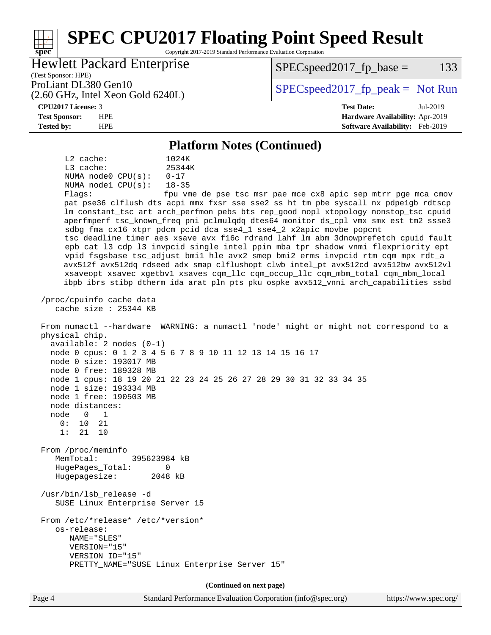#### Page 4 Standard Performance Evaluation Corporation [\(info@spec.org\)](mailto:info@spec.org) <https://www.spec.org/> **[spec](http://www.spec.org/) [SPEC CPU2017 Floating Point Speed Result](http://www.spec.org/auto/cpu2017/Docs/result-fields.html#SPECCPU2017FloatingPointSpeedResult)** Copyright 2017-2019 Standard Performance Evaluation Corporation (Test Sponsor: HPE) Hewlett Packard Enterprise (2.60 GHz, Intel Xeon Gold 6240L) ProLiant DL380 Gen10  $SPEC speed2017$  [p\_peak = Not Run  $SPEC speed2017_fp\_base = 133$ **[CPU2017 License:](http://www.spec.org/auto/cpu2017/Docs/result-fields.html#CPU2017License)** 3 **[Test Date:](http://www.spec.org/auto/cpu2017/Docs/result-fields.html#TestDate)** Jul-2019 **[Test Sponsor:](http://www.spec.org/auto/cpu2017/Docs/result-fields.html#TestSponsor)** HPE **[Hardware Availability:](http://www.spec.org/auto/cpu2017/Docs/result-fields.html#HardwareAvailability)** Apr-2019 **[Tested by:](http://www.spec.org/auto/cpu2017/Docs/result-fields.html#Testedby)** HPE **[Software Availability:](http://www.spec.org/auto/cpu2017/Docs/result-fields.html#SoftwareAvailability)** Feb-2019 **[Platform Notes \(Continued\)](http://www.spec.org/auto/cpu2017/Docs/result-fields.html#PlatformNotes)** L2 cache: 1024K L3 cache: 25344K NUMA node0 CPU(s): 0-17 NUMA node1 CPU(s): 18-35 Flags: fpu vme de pse tsc msr pae mce cx8 apic sep mtrr pge mca cmov pat pse36 clflush dts acpi mmx fxsr sse sse2 ss ht tm pbe syscall nx pdpe1gb rdtscp lm constant\_tsc art arch\_perfmon pebs bts rep\_good nopl xtopology nonstop\_tsc cpuid aperfmperf tsc\_known\_freq pni pclmulqdq dtes64 monitor ds\_cpl vmx smx est tm2 ssse3 sdbg fma cx16 xtpr pdcm pcid dca sse4\_1 sse4\_2 x2apic movbe popcnt tsc\_deadline\_timer aes xsave avx f16c rdrand lahf\_lm abm 3dnowprefetch cpuid\_fault epb cat\_l3 cdp\_l3 invpcid\_single intel\_ppin mba tpr\_shadow vnmi flexpriority ept vpid fsgsbase tsc\_adjust bmi1 hle avx2 smep bmi2 erms invpcid rtm cqm mpx rdt\_a avx512f avx512dq rdseed adx smap clflushopt clwb intel\_pt avx512cd avx512bw avx512vl xsaveopt xsavec xgetbv1 xsaves cqm\_llc cqm\_occup\_llc cqm\_mbm\_total cqm\_mbm\_local ibpb ibrs stibp dtherm ida arat pln pts pku ospke avx512\_vnni arch\_capabilities ssbd /proc/cpuinfo cache data cache size : 25344 KB From numactl --hardware WARNING: a numactl 'node' might or might not correspond to a physical chip. available: 2 nodes (0-1) node 0 cpus: 0 1 2 3 4 5 6 7 8 9 10 11 12 13 14 15 16 17 node 0 size: 193017 MB node 0 free: 189328 MB node 1 cpus: 18 19 20 21 22 23 24 25 26 27 28 29 30 31 32 33 34 35 node 1 size: 193334 MB node 1 free: 190503 MB node distances: node 0 1 0: 10 21 1: 21 10 From /proc/meminfo MemTotal: 395623984 kB HugePages\_Total: 0 Hugepagesize: 2048 kB /usr/bin/lsb\_release -d SUSE Linux Enterprise Server 15 From /etc/\*release\* /etc/\*version\* os-release: NAME="SLES" VERSION="15" VERSION\_ID="15" PRETTY\_NAME="SUSE Linux Enterprise Server 15" **(Continued on next page)**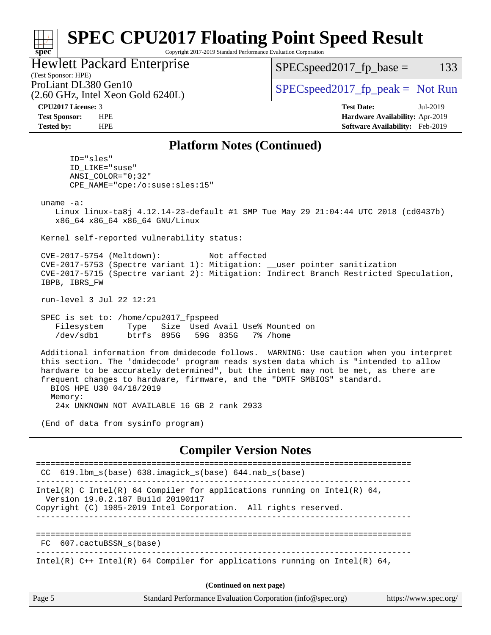#### **[spec](http://www.spec.org/) [SPEC CPU2017 Floating Point Speed Result](http://www.spec.org/auto/cpu2017/Docs/result-fields.html#SPECCPU2017FloatingPointSpeedResult)** Copyright 2017-2019 Standard Performance Evaluation Corporation

## Hewlett Packard Enterprise

(2.60 GHz, Intel Xeon Gold 6240L)

 $SPEC speed2017_fp\_base = 133$ 

(Test Sponsor: HPE)

ProLiant DL380 Gen10  $SPEC speed2017$  fp\_peak = Not Run

**[CPU2017 License:](http://www.spec.org/auto/cpu2017/Docs/result-fields.html#CPU2017License)** 3 **[Test Date:](http://www.spec.org/auto/cpu2017/Docs/result-fields.html#TestDate)** Jul-2019 **[Test Sponsor:](http://www.spec.org/auto/cpu2017/Docs/result-fields.html#TestSponsor)** HPE **[Hardware Availability:](http://www.spec.org/auto/cpu2017/Docs/result-fields.html#HardwareAvailability)** Apr-2019 **[Tested by:](http://www.spec.org/auto/cpu2017/Docs/result-fields.html#Testedby)** HPE **[Software Availability:](http://www.spec.org/auto/cpu2017/Docs/result-fields.html#SoftwareAvailability)** Feb-2019

#### **[Platform Notes \(Continued\)](http://www.spec.org/auto/cpu2017/Docs/result-fields.html#PlatformNotes)**

 ID="sles" ID\_LIKE="suse" ANSI\_COLOR="0;32" CPE\_NAME="cpe:/o:suse:sles:15"

uname -a:

 Linux linux-ta8j 4.12.14-23-default #1 SMP Tue May 29 21:04:44 UTC 2018 (cd0437b) x86\_64 x86\_64 x86\_64 GNU/Linux

Kernel self-reported vulnerability status:

 CVE-2017-5754 (Meltdown): Not affected CVE-2017-5753 (Spectre variant 1): Mitigation: \_\_user pointer sanitization CVE-2017-5715 (Spectre variant 2): Mitigation: Indirect Branch Restricted Speculation, IBPB, IBRS\_FW

run-level 3 Jul 22 12:21

 SPEC is set to: /home/cpu2017\_fpspeed Filesystem Type Size Used Avail Use% Mounted on /dev/sdb1 btrfs 895G 59G 835G 7% /home

 Additional information from dmidecode follows. WARNING: Use caution when you interpret this section. The 'dmidecode' program reads system data which is "intended to allow hardware to be accurately determined", but the intent may not be met, as there are frequent changes to hardware, firmware, and the "DMTF SMBIOS" standard. BIOS HPE U30 04/18/2019 Memory:

24x UNKNOWN NOT AVAILABLE 16 GB 2 rank 2933

(End of data from sysinfo program)

#### **[Compiler Version Notes](http://www.spec.org/auto/cpu2017/Docs/result-fields.html#CompilerVersionNotes)**

| CC 619.1bm s(base) 638.imagick s(base) 644.nab s(base)                                                                                                                                                                                                                                                                                                                                                                                                    |  |  |
|-----------------------------------------------------------------------------------------------------------------------------------------------------------------------------------------------------------------------------------------------------------------------------------------------------------------------------------------------------------------------------------------------------------------------------------------------------------|--|--|
| Intel(R) C Intel(R) 64 Compiler for applications running on Intel(R) 64,<br>Version 19.0.2.187 Build 20190117<br>Copyright (C) 1985-2019 Intel Corporation. All rights reserved.                                                                                                                                                                                                                                                                          |  |  |
|                                                                                                                                                                                                                                                                                                                                                                                                                                                           |  |  |
|                                                                                                                                                                                                                                                                                                                                                                                                                                                           |  |  |
| FC 607.cactuBSSN s(base)                                                                                                                                                                                                                                                                                                                                                                                                                                  |  |  |
| Intel(R) C++ Intel(R) 64 Compiler for applications running on Intel(R) 64,                                                                                                                                                                                                                                                                                                                                                                                |  |  |
|                                                                                                                                                                                                                                                                                                                                                                                                                                                           |  |  |
| (Continued on next page)                                                                                                                                                                                                                                                                                                                                                                                                                                  |  |  |
| $\alpha$ , $\alpha$ , $\alpha$ , $\alpha$ , $\alpha$ , $\alpha$ , $\alpha$ , $\alpha$ , $\alpha$ , $\alpha$ , $\alpha$ , $\alpha$ , $\alpha$ , $\alpha$ , $\alpha$ , $\alpha$ , $\alpha$ , $\alpha$ , $\alpha$ , $\alpha$ , $\alpha$ , $\alpha$ , $\alpha$ , $\alpha$ , $\alpha$ , $\alpha$ , $\alpha$ , $\alpha$ , $\alpha$ , $\alpha$ , $\alpha$ , $\alpha$ , $\alpha$ , $\alpha$ , $\alpha$ , $\alpha$ , $\alpha$ ,<br>$\blacksquare$ . $\blacksquare$ |  |  |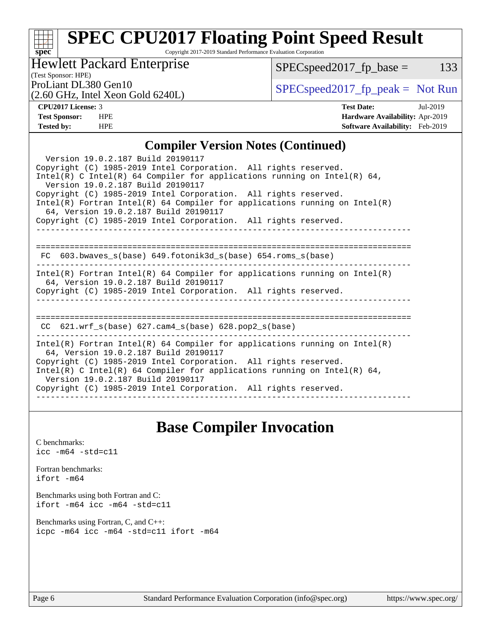## **[spec](http://www.spec.org/) [SPEC CPU2017 Floating Point Speed Result](http://www.spec.org/auto/cpu2017/Docs/result-fields.html#SPECCPU2017FloatingPointSpeedResult)**

Copyright 2017-2019 Standard Performance Evaluation Corporation

## Hewlett Packard Enterprise

 $SPECspeed2017_fp\_base = 133$ 

(Test Sponsor: HPE)

(2.60 GHz, Intel Xeon Gold 6240L)

ProLiant DL380 Gen10<br>  $\begin{array}{c|c}\n\text{SPEC speed2017\_fp\_peak} = \text{Not Run} \\
\hline\n\end{array}$ 

**[CPU2017 License:](http://www.spec.org/auto/cpu2017/Docs/result-fields.html#CPU2017License)** 3 **[Test Date:](http://www.spec.org/auto/cpu2017/Docs/result-fields.html#TestDate)** Jul-2019 **[Test Sponsor:](http://www.spec.org/auto/cpu2017/Docs/result-fields.html#TestSponsor)** HPE **[Hardware Availability:](http://www.spec.org/auto/cpu2017/Docs/result-fields.html#HardwareAvailability)** Apr-2019 **[Tested by:](http://www.spec.org/auto/cpu2017/Docs/result-fields.html#Testedby)** HPE **[Software Availability:](http://www.spec.org/auto/cpu2017/Docs/result-fields.html#SoftwareAvailability)** Feb-2019

#### **[Compiler Version Notes \(Continued\)](http://www.spec.org/auto/cpu2017/Docs/result-fields.html#CompilerVersionNotes)**

| Version 19.0.2.187 Build 20190117<br>Copyright (C) 1985-2019 Intel Corporation. All rights reserved.<br>Intel(R) C Intel(R) 64 Compiler for applications running on Intel(R) 64,<br>Version 19.0.2.187 Build 20190117<br>Copyright (C) 1985-2019 Intel Corporation. All rights reserved.<br>Intel(R) Fortran Intel(R) 64 Compiler for applications running on Intel(R)<br>64, Version 19.0.2.187 Build 20190117<br>Copyright (C) 1985-2019 Intel Corporation. All rights reserved. |  |  |  |
|------------------------------------------------------------------------------------------------------------------------------------------------------------------------------------------------------------------------------------------------------------------------------------------------------------------------------------------------------------------------------------------------------------------------------------------------------------------------------------|--|--|--|
| $FC$ 603.bwaves_s(base) 649.fotonik3d_s(base) 654.roms_s(base)                                                                                                                                                                                                                                                                                                                                                                                                                     |  |  |  |
| $Intel(R)$ Fortran Intel(R) 64 Compiler for applications running on Intel(R)<br>64, Version 19.0.2.187 Build 20190117<br>Copyright (C) 1985-2019 Intel Corporation. All rights reserved.                                                                                                                                                                                                                                                                                           |  |  |  |
| CC $621.wrf$ s(base) $627.cam4$ s(base) $628.pop2$ s(base)                                                                                                                                                                                                                                                                                                                                                                                                                         |  |  |  |
| $Intel(R)$ Fortran Intel(R) 64 Compiler for applications running on Intel(R)<br>64, Version 19.0.2.187 Build 20190117<br>Copyright (C) 1985-2019 Intel Corporation. All rights reserved.<br>Intel(R) C Intel(R) 64 Compiler for applications running on Intel(R) 64,<br>Version 19.0.2.187 Build 20190117<br>Copyright (C) 1985-2019 Intel Corporation. All rights reserved.                                                                                                       |  |  |  |

## **[Base Compiler Invocation](http://www.spec.org/auto/cpu2017/Docs/result-fields.html#BaseCompilerInvocation)**

[C benchmarks](http://www.spec.org/auto/cpu2017/Docs/result-fields.html#Cbenchmarks): [icc -m64 -std=c11](http://www.spec.org/cpu2017/results/res2019q3/cpu2017-20190805-16559.flags.html#user_CCbase_intel_icc_64bit_c11_33ee0cdaae7deeeab2a9725423ba97205ce30f63b9926c2519791662299b76a0318f32ddfffdc46587804de3178b4f9328c46fa7c2b0cd779d7a61945c91cd35)

[Fortran benchmarks](http://www.spec.org/auto/cpu2017/Docs/result-fields.html#Fortranbenchmarks): [ifort -m64](http://www.spec.org/cpu2017/results/res2019q3/cpu2017-20190805-16559.flags.html#user_FCbase_intel_ifort_64bit_24f2bb282fbaeffd6157abe4f878425411749daecae9a33200eee2bee2fe76f3b89351d69a8130dd5949958ce389cf37ff59a95e7a40d588e8d3a57e0c3fd751)

[Benchmarks using both Fortran and C](http://www.spec.org/auto/cpu2017/Docs/result-fields.html#BenchmarksusingbothFortranandC): [ifort -m64](http://www.spec.org/cpu2017/results/res2019q3/cpu2017-20190805-16559.flags.html#user_CC_FCbase_intel_ifort_64bit_24f2bb282fbaeffd6157abe4f878425411749daecae9a33200eee2bee2fe76f3b89351d69a8130dd5949958ce389cf37ff59a95e7a40d588e8d3a57e0c3fd751) [icc -m64 -std=c11](http://www.spec.org/cpu2017/results/res2019q3/cpu2017-20190805-16559.flags.html#user_CC_FCbase_intel_icc_64bit_c11_33ee0cdaae7deeeab2a9725423ba97205ce30f63b9926c2519791662299b76a0318f32ddfffdc46587804de3178b4f9328c46fa7c2b0cd779d7a61945c91cd35)

[Benchmarks using Fortran, C, and C++:](http://www.spec.org/auto/cpu2017/Docs/result-fields.html#BenchmarksusingFortranCandCXX) [icpc -m64](http://www.spec.org/cpu2017/results/res2019q3/cpu2017-20190805-16559.flags.html#user_CC_CXX_FCbase_intel_icpc_64bit_4ecb2543ae3f1412ef961e0650ca070fec7b7afdcd6ed48761b84423119d1bf6bdf5cad15b44d48e7256388bc77273b966e5eb805aefd121eb22e9299b2ec9d9) [icc -m64 -std=c11](http://www.spec.org/cpu2017/results/res2019q3/cpu2017-20190805-16559.flags.html#user_CC_CXX_FCbase_intel_icc_64bit_c11_33ee0cdaae7deeeab2a9725423ba97205ce30f63b9926c2519791662299b76a0318f32ddfffdc46587804de3178b4f9328c46fa7c2b0cd779d7a61945c91cd35) [ifort -m64](http://www.spec.org/cpu2017/results/res2019q3/cpu2017-20190805-16559.flags.html#user_CC_CXX_FCbase_intel_ifort_64bit_24f2bb282fbaeffd6157abe4f878425411749daecae9a33200eee2bee2fe76f3b89351d69a8130dd5949958ce389cf37ff59a95e7a40d588e8d3a57e0c3fd751)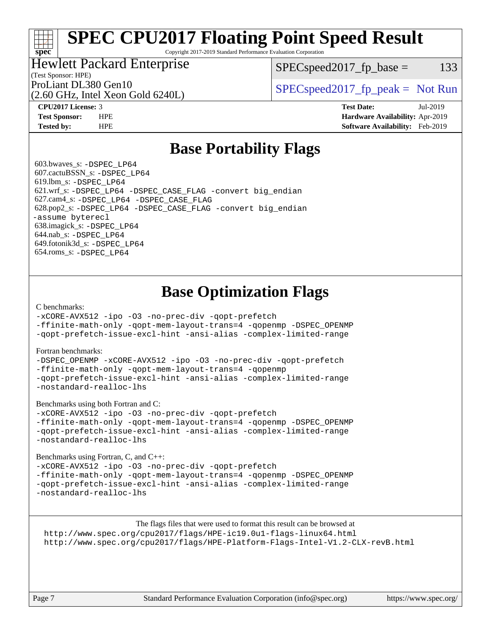# **[SPEC CPU2017 Floating Point Speed Result](http://www.spec.org/auto/cpu2017/Docs/result-fields.html#SPECCPU2017FloatingPointSpeedResult)**

Copyright 2017-2019 Standard Performance Evaluation Corporation

## Hewlett Packard Enterprise

 $SPEC speed2017_fp\_base = 133$ 

## (Test Sponsor: HPE)

(2.60 GHz, Intel Xeon Gold 6240L)

ProLiant DL380 Gen10  $SPEC speed2017$  [p\_peak = Not Run

**[spec](http://www.spec.org/)**

**[CPU2017 License:](http://www.spec.org/auto/cpu2017/Docs/result-fields.html#CPU2017License)** 3 **[Test Date:](http://www.spec.org/auto/cpu2017/Docs/result-fields.html#TestDate)** Jul-2019 **[Test Sponsor:](http://www.spec.org/auto/cpu2017/Docs/result-fields.html#TestSponsor)** HPE **[Hardware Availability:](http://www.spec.org/auto/cpu2017/Docs/result-fields.html#HardwareAvailability)** Apr-2019 **[Tested by:](http://www.spec.org/auto/cpu2017/Docs/result-fields.html#Testedby)** HPE **[Software Availability:](http://www.spec.org/auto/cpu2017/Docs/result-fields.html#SoftwareAvailability)** Feb-2019

## **[Base Portability Flags](http://www.spec.org/auto/cpu2017/Docs/result-fields.html#BasePortabilityFlags)**

 603.bwaves\_s: [-DSPEC\\_LP64](http://www.spec.org/cpu2017/results/res2019q3/cpu2017-20190805-16559.flags.html#suite_basePORTABILITY603_bwaves_s_DSPEC_LP64) 607.cactuBSSN\_s: [-DSPEC\\_LP64](http://www.spec.org/cpu2017/results/res2019q3/cpu2017-20190805-16559.flags.html#suite_basePORTABILITY607_cactuBSSN_s_DSPEC_LP64) 619.lbm\_s: [-DSPEC\\_LP64](http://www.spec.org/cpu2017/results/res2019q3/cpu2017-20190805-16559.flags.html#suite_basePORTABILITY619_lbm_s_DSPEC_LP64) 621.wrf\_s: [-DSPEC\\_LP64](http://www.spec.org/cpu2017/results/res2019q3/cpu2017-20190805-16559.flags.html#suite_basePORTABILITY621_wrf_s_DSPEC_LP64) [-DSPEC\\_CASE\\_FLAG](http://www.spec.org/cpu2017/results/res2019q3/cpu2017-20190805-16559.flags.html#b621.wrf_s_baseCPORTABILITY_DSPEC_CASE_FLAG) [-convert big\\_endian](http://www.spec.org/cpu2017/results/res2019q3/cpu2017-20190805-16559.flags.html#user_baseFPORTABILITY621_wrf_s_convert_big_endian_c3194028bc08c63ac5d04de18c48ce6d347e4e562e8892b8bdbdc0214820426deb8554edfa529a3fb25a586e65a3d812c835984020483e7e73212c4d31a38223) 627.cam4\_s: [-DSPEC\\_LP64](http://www.spec.org/cpu2017/results/res2019q3/cpu2017-20190805-16559.flags.html#suite_basePORTABILITY627_cam4_s_DSPEC_LP64) [-DSPEC\\_CASE\\_FLAG](http://www.spec.org/cpu2017/results/res2019q3/cpu2017-20190805-16559.flags.html#b627.cam4_s_baseCPORTABILITY_DSPEC_CASE_FLAG) 628.pop2\_s: [-DSPEC\\_LP64](http://www.spec.org/cpu2017/results/res2019q3/cpu2017-20190805-16559.flags.html#suite_basePORTABILITY628_pop2_s_DSPEC_LP64) [-DSPEC\\_CASE\\_FLAG](http://www.spec.org/cpu2017/results/res2019q3/cpu2017-20190805-16559.flags.html#b628.pop2_s_baseCPORTABILITY_DSPEC_CASE_FLAG) [-convert big\\_endian](http://www.spec.org/cpu2017/results/res2019q3/cpu2017-20190805-16559.flags.html#user_baseFPORTABILITY628_pop2_s_convert_big_endian_c3194028bc08c63ac5d04de18c48ce6d347e4e562e8892b8bdbdc0214820426deb8554edfa529a3fb25a586e65a3d812c835984020483e7e73212c4d31a38223) [-assume byterecl](http://www.spec.org/cpu2017/results/res2019q3/cpu2017-20190805-16559.flags.html#user_baseFPORTABILITY628_pop2_s_assume_byterecl_7e47d18b9513cf18525430bbf0f2177aa9bf368bc7a059c09b2c06a34b53bd3447c950d3f8d6c70e3faf3a05c8557d66a5798b567902e8849adc142926523472) 638.imagick\_s: [-DSPEC\\_LP64](http://www.spec.org/cpu2017/results/res2019q3/cpu2017-20190805-16559.flags.html#suite_basePORTABILITY638_imagick_s_DSPEC_LP64) 644.nab\_s: [-DSPEC\\_LP64](http://www.spec.org/cpu2017/results/res2019q3/cpu2017-20190805-16559.flags.html#suite_basePORTABILITY644_nab_s_DSPEC_LP64) 649.fotonik3d\_s: [-DSPEC\\_LP64](http://www.spec.org/cpu2017/results/res2019q3/cpu2017-20190805-16559.flags.html#suite_basePORTABILITY649_fotonik3d_s_DSPEC_LP64) 654.roms\_s: [-DSPEC\\_LP64](http://www.spec.org/cpu2017/results/res2019q3/cpu2017-20190805-16559.flags.html#suite_basePORTABILITY654_roms_s_DSPEC_LP64)

# **[Base Optimization Flags](http://www.spec.org/auto/cpu2017/Docs/result-fields.html#BaseOptimizationFlags)**

#### [C benchmarks](http://www.spec.org/auto/cpu2017/Docs/result-fields.html#Cbenchmarks):

[-xCORE-AVX512](http://www.spec.org/cpu2017/results/res2019q3/cpu2017-20190805-16559.flags.html#user_CCbase_f-xCORE-AVX512) [-ipo](http://www.spec.org/cpu2017/results/res2019q3/cpu2017-20190805-16559.flags.html#user_CCbase_f-ipo) [-O3](http://www.spec.org/cpu2017/results/res2019q3/cpu2017-20190805-16559.flags.html#user_CCbase_f-O3) [-no-prec-div](http://www.spec.org/cpu2017/results/res2019q3/cpu2017-20190805-16559.flags.html#user_CCbase_f-no-prec-div) [-qopt-prefetch](http://www.spec.org/cpu2017/results/res2019q3/cpu2017-20190805-16559.flags.html#user_CCbase_f-qopt-prefetch)

[-ffinite-math-only](http://www.spec.org/cpu2017/results/res2019q3/cpu2017-20190805-16559.flags.html#user_CCbase_f_finite_math_only_cb91587bd2077682c4b38af759c288ed7c732db004271a9512da14a4f8007909a5f1427ecbf1a0fb78ff2a814402c6114ac565ca162485bbcae155b5e4258871) [-qopt-mem-layout-trans=4](http://www.spec.org/cpu2017/results/res2019q3/cpu2017-20190805-16559.flags.html#user_CCbase_f-qopt-mem-layout-trans_fa39e755916c150a61361b7846f310bcdf6f04e385ef281cadf3647acec3f0ae266d1a1d22d972a7087a248fd4e6ca390a3634700869573d231a252c784941a8) [-qopenmp](http://www.spec.org/cpu2017/results/res2019q3/cpu2017-20190805-16559.flags.html#user_CCbase_qopenmp_16be0c44f24f464004c6784a7acb94aca937f053568ce72f94b139a11c7c168634a55f6653758ddd83bcf7b8463e8028bb0b48b77bcddc6b78d5d95bb1df2967) [-DSPEC\\_OPENMP](http://www.spec.org/cpu2017/results/res2019q3/cpu2017-20190805-16559.flags.html#suite_CCbase_DSPEC_OPENMP) [-qopt-prefetch-issue-excl-hint](http://www.spec.org/cpu2017/results/res2019q3/cpu2017-20190805-16559.flags.html#user_CCbase_f-qopt-prefetch-issue-excl-hint) [-ansi-alias](http://www.spec.org/cpu2017/results/res2019q3/cpu2017-20190805-16559.flags.html#user_CCbase_f-ansi-alias) [-complex-limited-range](http://www.spec.org/cpu2017/results/res2019q3/cpu2017-20190805-16559.flags.html#user_CCbase_f-complex-limited-range)

#### [Fortran benchmarks](http://www.spec.org/auto/cpu2017/Docs/result-fields.html#Fortranbenchmarks):

[-DSPEC\\_OPENMP](http://www.spec.org/cpu2017/results/res2019q3/cpu2017-20190805-16559.flags.html#suite_FCbase_DSPEC_OPENMP) [-xCORE-AVX512](http://www.spec.org/cpu2017/results/res2019q3/cpu2017-20190805-16559.flags.html#user_FCbase_f-xCORE-AVX512) [-ipo](http://www.spec.org/cpu2017/results/res2019q3/cpu2017-20190805-16559.flags.html#user_FCbase_f-ipo) [-O3](http://www.spec.org/cpu2017/results/res2019q3/cpu2017-20190805-16559.flags.html#user_FCbase_f-O3) [-no-prec-div](http://www.spec.org/cpu2017/results/res2019q3/cpu2017-20190805-16559.flags.html#user_FCbase_f-no-prec-div) [-qopt-prefetch](http://www.spec.org/cpu2017/results/res2019q3/cpu2017-20190805-16559.flags.html#user_FCbase_f-qopt-prefetch) [-ffinite-math-only](http://www.spec.org/cpu2017/results/res2019q3/cpu2017-20190805-16559.flags.html#user_FCbase_f_finite_math_only_cb91587bd2077682c4b38af759c288ed7c732db004271a9512da14a4f8007909a5f1427ecbf1a0fb78ff2a814402c6114ac565ca162485bbcae155b5e4258871) [-qopt-mem-layout-trans=4](http://www.spec.org/cpu2017/results/res2019q3/cpu2017-20190805-16559.flags.html#user_FCbase_f-qopt-mem-layout-trans_fa39e755916c150a61361b7846f310bcdf6f04e385ef281cadf3647acec3f0ae266d1a1d22d972a7087a248fd4e6ca390a3634700869573d231a252c784941a8) [-qopenmp](http://www.spec.org/cpu2017/results/res2019q3/cpu2017-20190805-16559.flags.html#user_FCbase_qopenmp_16be0c44f24f464004c6784a7acb94aca937f053568ce72f94b139a11c7c168634a55f6653758ddd83bcf7b8463e8028bb0b48b77bcddc6b78d5d95bb1df2967) [-qopt-prefetch-issue-excl-hint](http://www.spec.org/cpu2017/results/res2019q3/cpu2017-20190805-16559.flags.html#user_FCbase_f-qopt-prefetch-issue-excl-hint) [-ansi-alias](http://www.spec.org/cpu2017/results/res2019q3/cpu2017-20190805-16559.flags.html#user_FCbase_f-ansi-alias) [-complex-limited-range](http://www.spec.org/cpu2017/results/res2019q3/cpu2017-20190805-16559.flags.html#user_FCbase_f-complex-limited-range) [-nostandard-realloc-lhs](http://www.spec.org/cpu2017/results/res2019q3/cpu2017-20190805-16559.flags.html#user_FCbase_f_2003_std_realloc_82b4557e90729c0f113870c07e44d33d6f5a304b4f63d4c15d2d0f1fab99f5daaed73bdb9275d9ae411527f28b936061aa8b9c8f2d63842963b95c9dd6426b8a)

[Benchmarks using both Fortran and C](http://www.spec.org/auto/cpu2017/Docs/result-fields.html#BenchmarksusingbothFortranandC):

[-xCORE-AVX512](http://www.spec.org/cpu2017/results/res2019q3/cpu2017-20190805-16559.flags.html#user_CC_FCbase_f-xCORE-AVX512) [-ipo](http://www.spec.org/cpu2017/results/res2019q3/cpu2017-20190805-16559.flags.html#user_CC_FCbase_f-ipo) [-O3](http://www.spec.org/cpu2017/results/res2019q3/cpu2017-20190805-16559.flags.html#user_CC_FCbase_f-O3) [-no-prec-div](http://www.spec.org/cpu2017/results/res2019q3/cpu2017-20190805-16559.flags.html#user_CC_FCbase_f-no-prec-div) [-qopt-prefetch](http://www.spec.org/cpu2017/results/res2019q3/cpu2017-20190805-16559.flags.html#user_CC_FCbase_f-qopt-prefetch) [-ffinite-math-only](http://www.spec.org/cpu2017/results/res2019q3/cpu2017-20190805-16559.flags.html#user_CC_FCbase_f_finite_math_only_cb91587bd2077682c4b38af759c288ed7c732db004271a9512da14a4f8007909a5f1427ecbf1a0fb78ff2a814402c6114ac565ca162485bbcae155b5e4258871) [-qopt-mem-layout-trans=4](http://www.spec.org/cpu2017/results/res2019q3/cpu2017-20190805-16559.flags.html#user_CC_FCbase_f-qopt-mem-layout-trans_fa39e755916c150a61361b7846f310bcdf6f04e385ef281cadf3647acec3f0ae266d1a1d22d972a7087a248fd4e6ca390a3634700869573d231a252c784941a8) [-qopenmp](http://www.spec.org/cpu2017/results/res2019q3/cpu2017-20190805-16559.flags.html#user_CC_FCbase_qopenmp_16be0c44f24f464004c6784a7acb94aca937f053568ce72f94b139a11c7c168634a55f6653758ddd83bcf7b8463e8028bb0b48b77bcddc6b78d5d95bb1df2967) [-DSPEC\\_OPENMP](http://www.spec.org/cpu2017/results/res2019q3/cpu2017-20190805-16559.flags.html#suite_CC_FCbase_DSPEC_OPENMP) [-qopt-prefetch-issue-excl-hint](http://www.spec.org/cpu2017/results/res2019q3/cpu2017-20190805-16559.flags.html#user_CC_FCbase_f-qopt-prefetch-issue-excl-hint) [-ansi-alias](http://www.spec.org/cpu2017/results/res2019q3/cpu2017-20190805-16559.flags.html#user_CC_FCbase_f-ansi-alias) [-complex-limited-range](http://www.spec.org/cpu2017/results/res2019q3/cpu2017-20190805-16559.flags.html#user_CC_FCbase_f-complex-limited-range) [-nostandard-realloc-lhs](http://www.spec.org/cpu2017/results/res2019q3/cpu2017-20190805-16559.flags.html#user_CC_FCbase_f_2003_std_realloc_82b4557e90729c0f113870c07e44d33d6f5a304b4f63d4c15d2d0f1fab99f5daaed73bdb9275d9ae411527f28b936061aa8b9c8f2d63842963b95c9dd6426b8a)

[Benchmarks using Fortran, C, and C++:](http://www.spec.org/auto/cpu2017/Docs/result-fields.html#BenchmarksusingFortranCandCXX)

[-xCORE-AVX512](http://www.spec.org/cpu2017/results/res2019q3/cpu2017-20190805-16559.flags.html#user_CC_CXX_FCbase_f-xCORE-AVX512) [-ipo](http://www.spec.org/cpu2017/results/res2019q3/cpu2017-20190805-16559.flags.html#user_CC_CXX_FCbase_f-ipo) [-O3](http://www.spec.org/cpu2017/results/res2019q3/cpu2017-20190805-16559.flags.html#user_CC_CXX_FCbase_f-O3) [-no-prec-div](http://www.spec.org/cpu2017/results/res2019q3/cpu2017-20190805-16559.flags.html#user_CC_CXX_FCbase_f-no-prec-div) [-qopt-prefetch](http://www.spec.org/cpu2017/results/res2019q3/cpu2017-20190805-16559.flags.html#user_CC_CXX_FCbase_f-qopt-prefetch) [-ffinite-math-only](http://www.spec.org/cpu2017/results/res2019q3/cpu2017-20190805-16559.flags.html#user_CC_CXX_FCbase_f_finite_math_only_cb91587bd2077682c4b38af759c288ed7c732db004271a9512da14a4f8007909a5f1427ecbf1a0fb78ff2a814402c6114ac565ca162485bbcae155b5e4258871) [-qopt-mem-layout-trans=4](http://www.spec.org/cpu2017/results/res2019q3/cpu2017-20190805-16559.flags.html#user_CC_CXX_FCbase_f-qopt-mem-layout-trans_fa39e755916c150a61361b7846f310bcdf6f04e385ef281cadf3647acec3f0ae266d1a1d22d972a7087a248fd4e6ca390a3634700869573d231a252c784941a8) [-qopenmp](http://www.spec.org/cpu2017/results/res2019q3/cpu2017-20190805-16559.flags.html#user_CC_CXX_FCbase_qopenmp_16be0c44f24f464004c6784a7acb94aca937f053568ce72f94b139a11c7c168634a55f6653758ddd83bcf7b8463e8028bb0b48b77bcddc6b78d5d95bb1df2967) [-DSPEC\\_OPENMP](http://www.spec.org/cpu2017/results/res2019q3/cpu2017-20190805-16559.flags.html#suite_CC_CXX_FCbase_DSPEC_OPENMP) [-qopt-prefetch-issue-excl-hint](http://www.spec.org/cpu2017/results/res2019q3/cpu2017-20190805-16559.flags.html#user_CC_CXX_FCbase_f-qopt-prefetch-issue-excl-hint) [-ansi-alias](http://www.spec.org/cpu2017/results/res2019q3/cpu2017-20190805-16559.flags.html#user_CC_CXX_FCbase_f-ansi-alias) [-complex-limited-range](http://www.spec.org/cpu2017/results/res2019q3/cpu2017-20190805-16559.flags.html#user_CC_CXX_FCbase_f-complex-limited-range) [-nostandard-realloc-lhs](http://www.spec.org/cpu2017/results/res2019q3/cpu2017-20190805-16559.flags.html#user_CC_CXX_FCbase_f_2003_std_realloc_82b4557e90729c0f113870c07e44d33d6f5a304b4f63d4c15d2d0f1fab99f5daaed73bdb9275d9ae411527f28b936061aa8b9c8f2d63842963b95c9dd6426b8a)

The flags files that were used to format this result can be browsed at <http://www.spec.org/cpu2017/flags/HPE-ic19.0u1-flags-linux64.html> <http://www.spec.org/cpu2017/flags/HPE-Platform-Flags-Intel-V1.2-CLX-revB.html>